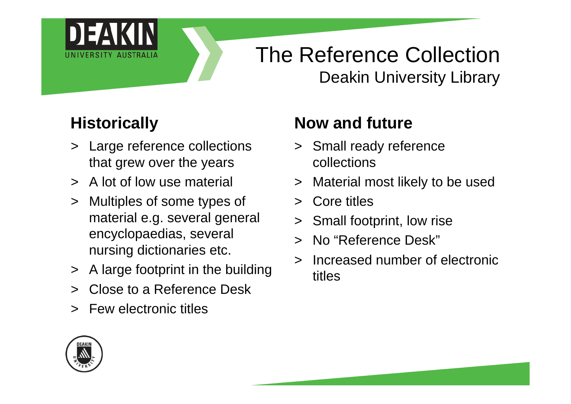

## The Reference Collection Deakin University Library

### **Historically**

- > Large reference collections that grew over the years
- > A lot of low use material
- > Multiples of some types of material e.g. several general encyclopaedias, several nursing dictionaries etc.
- > A large footprint in the building
- > Close to a Reference Desk
- > Few electronic titles

### **Now and future**

- > Small ready reference collections
- > Material most likely to be used
- > Core titles
- > Small footprint, low rise
- > No "Reference Desk"
- > Increased number of electronic titles

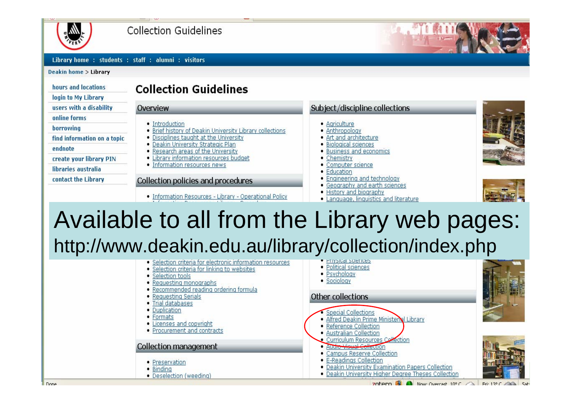

Collection Guidelines

Library home: students: staff: alumni: visitors

Deakin home > Library

| hours and locations.        |
|-----------------------------|
| login to My Library         |
| users with a disability     |
| online forms                |
| borrowing                   |
| find information on a topic |
| endnote                     |
| create your library PIN     |
| libraries australia         |
| contact the Library         |

#### **Collection Guidelines**

### Overview

- Introduction
- . Brief history of Deakin University Library collections
- . Disciplines taught at the University
- · Deakin University Strategic Plan
- . Research areas of the University
- Library information resources budget · Information resources news
- 

#### Collection policies and procedures

· Information Resources - Library - Operational Policy

#### Subject/discipline collections

- · Agriculture
- · Anthropology
- . Art and architecture
- · Biological sciences
- . Business and economics
- Chemistry
- Computer science
- · Education
- Engineering and technology
- Geography and earth sciences
- · History and biography
- Language, linguistics and literature





## Available to all from the Library web pages: http://www.deakin.edu.au/library/collection/index.php

- · Selection criteria for electronic information resources
- · Selection criteria for linking to websites
- Selection tools
- · Requesting monographs
- Recommended reading ordering formula
- Requesting Serials
- Trial databases
- · Duplication
- Formats
- Licenses and copyright
- Procurement and contracts

#### **Collection management**

- Preservation
- Binding
- · Deselection (weeding)
- 
- · Political sciences
- · Psychology
- · Sociology

#### Other collections



- 
- · Reference Collection · Australian Collection
- Curriculum Resources Collection
- Audio Visual Collection
- Campus Reserve Collection
- E-Readings Collection
- . Deakin University Examination Papers Collection
- · Deakin University Higher Degree Theses Collection

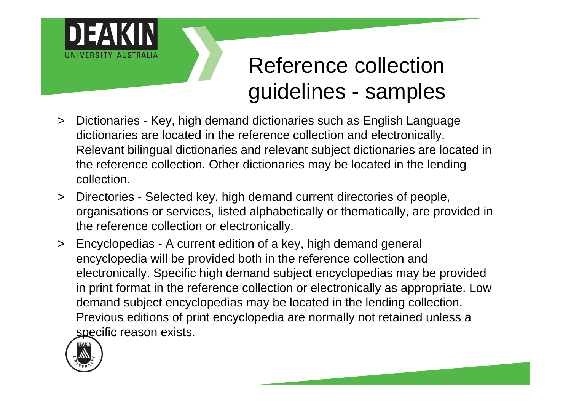

# Reference collection guidelines - samples

- > Dictionaries Key, high demand dictionaries such as English Language dictionaries are located in the reference collection and electronically. Relevant bilingual dictionaries and relevant subject dictionaries are located in the reference collection. Other dictionaries may be located in the lending collection.
- > Directories Selected key, high demand current directories of people, organisations or services, listed alphabetically or thematically, are provided in the reference collection or electronically.
- > Encyclopedias A current edition of a key, high demand general encyclopedia will be provided both in the reference collection and electronically. Specific high demand subject encyclopedias may be provided in print format in the reference collection or electronically as appropriate. Low demand subject encyclopedias may be located in the lending collection. Previous editions of print encyclopedia are normally not retained unless a specific reason exists.



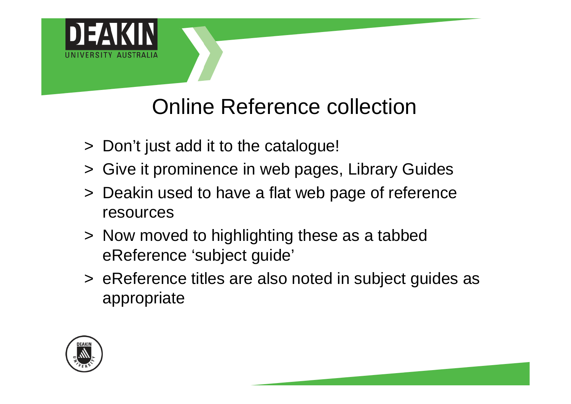

# Online Reference collection

- > Don't just add it to the catalogue!
- > Give it prominence in web pages, Library Guides
- > Deakin used to have a flat web page of reference resources
- > Now moved to highlighting these as a tabbed eReference 'subject guide'
- > eReference titles are also noted in subject guides as appropriate



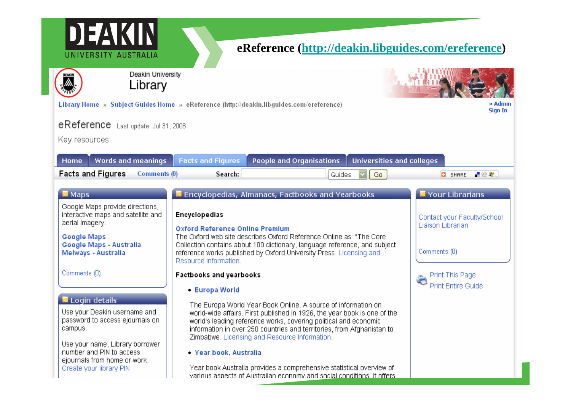| Deakin University<br>Library                                                                                                                                     |                                                                                                                                                                                                                                                                                                                                          |                                                                  |
|------------------------------------------------------------------------------------------------------------------------------------------------------------------|------------------------------------------------------------------------------------------------------------------------------------------------------------------------------------------------------------------------------------------------------------------------------------------------------------------------------------------|------------------------------------------------------------------|
|                                                                                                                                                                  | Library Home » Subject Guides Home » eReference (http://deakin.libguides.com/ereference)                                                                                                                                                                                                                                                 | » Admin<br><b>Sign In</b>                                        |
| eReference Last update: Jul 31, 2008<br>Key resources                                                                                                            |                                                                                                                                                                                                                                                                                                                                          |                                                                  |
| Words and meanings<br>Home                                                                                                                                       | People and Organisations<br><b>Universities and colleges</b><br><b>Facts and Figures</b>                                                                                                                                                                                                                                                 |                                                                  |
| <b>Facts and Figures</b><br>Comments (0)                                                                                                                         | Search:<br>Go<br>Guides                                                                                                                                                                                                                                                                                                                  | ■验考<br><b>C</b> SHARE                                            |
| $\blacksquare$ Maps                                                                                                                                              | Encyclopedias, Almanacs, Factbooks and Yearbooks                                                                                                                                                                                                                                                                                         | <b>Your Librarians</b>                                           |
| Google Maps provide directions,<br>interactive maps and satellite and<br>aerial imagery.<br><b>Google Maps</b><br>Google Maps - Australia<br>Melways - Australia | <b>Encyclopedias</b><br><b>Oxford Reference Online Premium</b><br>The Oxford web site describes Oxford Reference Online as: "The Core<br>Collection contains about 100 dictionary, language reference, and subject<br>reference works published by Oxford University Press. Licensing and<br>Resource Information.                       | Contact your Faculty/School<br>Liaison Librarian<br>Comments (0) |
| Comments (0)                                                                                                                                                     | Factbooks and yearbooks<br>- Europa World                                                                                                                                                                                                                                                                                                | <b>Print This Page</b><br><b>Print Entire Guide</b>              |
| Login details<br>Use your Deakin username and<br>password to access ejournals on<br>campus.                                                                      | The Europa World Year Book Online. A source of information on<br>world-wide affairs. First published in 1926, the year book is one of the<br>world's leading reference works, covering political and economic<br>information in over 250 countries and territories, from Afghanistan to<br>Zimbabwe. Licensing and Resource Information. |                                                                  |
| Use your name, Library borrower<br>number and PIN to access<br>ejournals from home or work.<br>Create your library PIN                                           | - Year book, Australia<br>Year book Australia provides a comprehensive statistical overview of                                                                                                                                                                                                                                           |                                                                  |